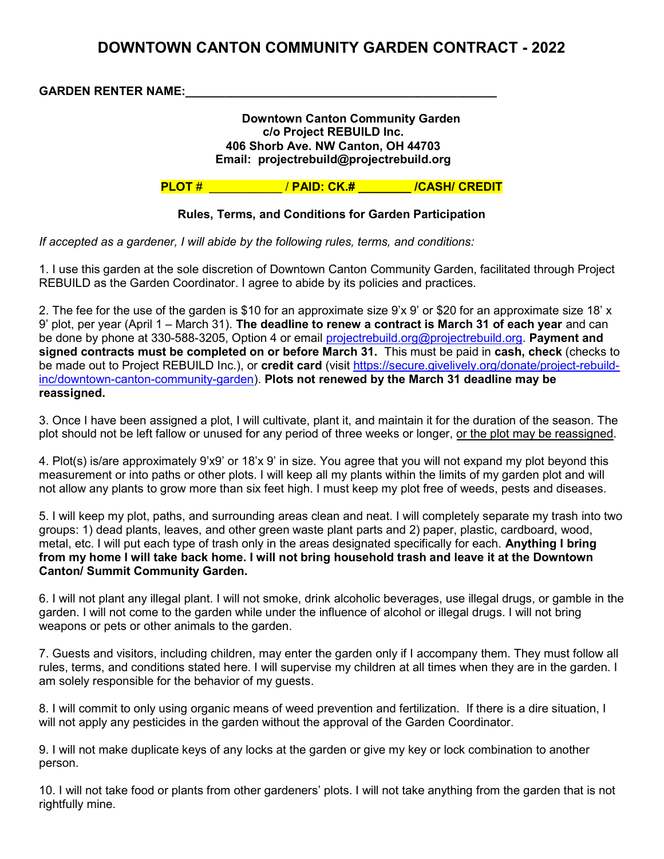# DOWNTOWN CANTON COMMUNITY GARDEN CONTRACT - 2022

GARDEN RENTER NAME:

#### Downtown Canton Community Garden c/o Project REBUILD Inc. 406 Shorb Ave. NW Canton, OH 44703 Email: projectrebuild@projectrebuild.org

PLOT #  $\sqrt{PAID: CK. #}$  / CASH/ CREDIT

## Rules, Terms, and Conditions for Garden Participation

If accepted as a gardener, I will abide by the following rules, terms, and conditions:

1. I use this garden at the sole discretion of Downtown Canton Community Garden, facilitated through Project REBUILD as the Garden Coordinator. I agree to abide by its policies and practices.

2. The fee for the use of the garden is \$10 for an approximate size 9'x 9' or \$20 for an approximate size 18' x 9' plot, per year (April 1 – March 31). The deadline to renew a contract is March 31 of each year and can be done by phone at 330-588-3205, Option 4 or email projectrebuild.org@projectrebuild.org. Payment and signed contracts must be completed on or before March 31. This must be paid in cash, check (checks to be made out to Project REBUILD Inc.), or credit card (visit https://secure.givelively.org/donate/project-rebuildinc/downtown-canton-community-garden). Plots not renewed by the March 31 deadline may be reassigned.

3. Once I have been assigned a plot, I will cultivate, plant it, and maintain it for the duration of the season. The plot should not be left fallow or unused for any period of three weeks or longer, or the plot may be reassigned.

4. Plot(s) is/are approximately 9'x9' or 18'x 9' in size. You agree that you will not expand my plot beyond this measurement or into paths or other plots. I will keep all my plants within the limits of my garden plot and will not allow any plants to grow more than six feet high. I must keep my plot free of weeds, pests and diseases.

5. I will keep my plot, paths, and surrounding areas clean and neat. I will completely separate my trash into two groups: 1) dead plants, leaves, and other green waste plant parts and 2) paper, plastic, cardboard, wood, metal, etc. I will put each type of trash only in the areas designated specifically for each. Anything I bring from my home I will take back home. I will not bring household trash and leave it at the Downtown Canton/ Summit Community Garden.

6. I will not plant any illegal plant. I will not smoke, drink alcoholic beverages, use illegal drugs, or gamble in the garden. I will not come to the garden while under the influence of alcohol or illegal drugs. I will not bring weapons or pets or other animals to the garden.

7. Guests and visitors, including children, may enter the garden only if I accompany them. They must follow all rules, terms, and conditions stated here. I will supervise my children at all times when they are in the garden. I am solely responsible for the behavior of my guests.

8. I will commit to only using organic means of weed prevention and fertilization. If there is a dire situation, I will not apply any pesticides in the garden without the approval of the Garden Coordinator.

9. I will not make duplicate keys of any locks at the garden or give my key or lock combination to another person.

10. I will not take food or plants from other gardeners' plots. I will not take anything from the garden that is not rightfully mine.